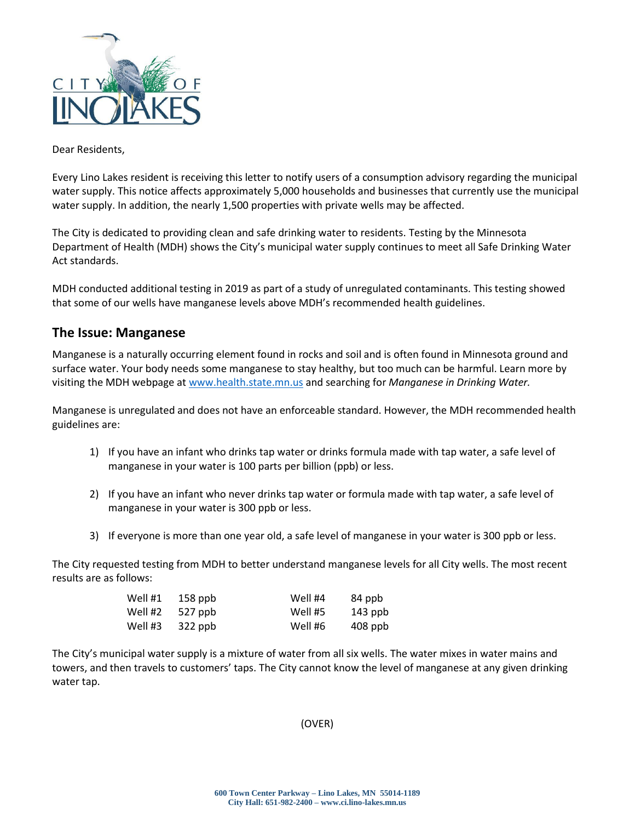

Dear Residents,

Every Lino Lakes resident is receiving this letter to notify users of a consumption advisory regarding the municipal water supply. This notice affects approximately 5,000 households and businesses that currently use the municipal water supply. In addition, the nearly 1,500 properties with private wells may be affected.

The City is dedicated to providing clean and safe drinking water to residents. Testing by the Minnesota Department of Health (MDH) shows the City's municipal water supply continues to meet all Safe Drinking Water Act standards.

MDH conducted additional testing in 2019 as part of a study of unregulated contaminants. This testing showed that some of our wells have manganese levels above MDH's recommended health guidelines.

## **The Issue: Manganese**

Manganese is a naturally occurring element found in rocks and soil and is often found in Minnesota ground and surface water. Your body needs some manganese to stay healthy, but too much can be harmful. Learn more by visiting the MDH webpage at [www.health.state.mn.us](http://www.health.state.mn.us/) and searching for *Manganese in Drinking Water.*

Manganese is unregulated and does not have an enforceable standard. However, the MDH recommended health guidelines are:

- 1) If you have an infant who drinks tap water or drinks formula made with tap water, a safe level of manganese in your water is 100 parts per billion (ppb) or less.
- 2) If you have an infant who never drinks tap water or formula made with tap water, a safe level of manganese in your water is 300 ppb or less.
- 3) If everyone is more than one year old, a safe level of manganese in your water is 300 ppb or less.

The City requested testing from MDH to better understand manganese levels for all City wells. The most recent results are as follows:

| Well #1 | $158$ ppb | Well #4 | 84 ppb    |
|---------|-----------|---------|-----------|
| Well #2 | $527$ ppb | Well #5 | 143 ppb   |
| Well #3 | $322$ ppb | Well #6 | $408$ ppb |

The City's municipal water supply is a mixture of water from all six wells. The water mixes in water mains and towers, and then travels to customers' taps. The City cannot know the level of manganese at any given drinking water tap.

(OVER)